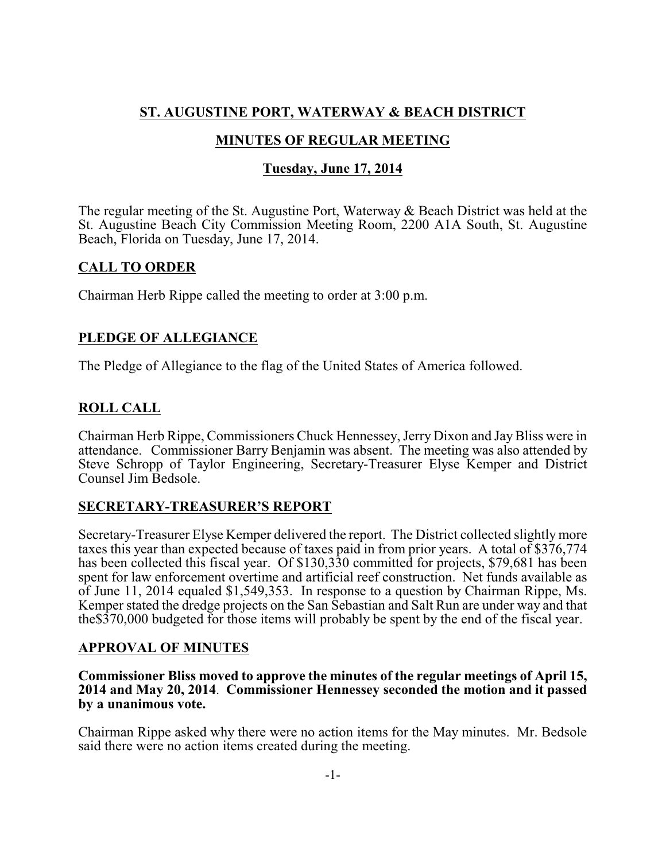# **ST. AUGUSTINE PORT, WATERWAY & BEACH DISTRICT**

## **MINUTES OF REGULAR MEETING**

### **Tuesday, June 17, 2014**

The regular meeting of the St. Augustine Port, Waterway & Beach District was held at the St. Augustine Beach City Commission Meeting Room, 2200 A1A South, St. Augustine Beach, Florida on Tuesday, June 17, 2014.

### **CALL TO ORDER**

Chairman Herb Rippe called the meeting to order at 3:00 p.m.

## **PLEDGE OF ALLEGIANCE**

The Pledge of Allegiance to the flag of the United States of America followed.

## **ROLL CALL**

Chairman Herb Rippe, Commissioners Chuck Hennessey, Jerry Dixon and JayBliss were in attendance. Commissioner Barry Benjamin was absent. The meeting was also attended by Steve Schropp of Taylor Engineering, Secretary-Treasurer Elyse Kemper and District Counsel Jim Bedsole.

### **SECRETARY-TREASURER'S REPORT**

Secretary-Treasurer Elyse Kemper delivered the report. The District collected slightly more taxes this year than expected because of taxes paid in from prior years. A total of \$376,774 has been collected this fiscal year. Of \$130,330 committed for projects, \$79,681 has been spent for law enforcement overtime and artificial reef construction. Net funds available as of June 11, 2014 equaled \$1,549,353. In response to a question by Chairman Rippe, Ms. Kemper stated the dredge projects on the San Sebastian and Salt Run are under way and that the\$370,000 budgeted for those items will probably be spent by the end of the fiscal year.

### **APPROVAL OF MINUTES**

**Commissioner Bliss moved to approve the minutes of the regular meetings of April 15, 2014 and May 20, 2014**. **Commissioner Hennessey seconded the motion and it passed by a unanimous vote.** 

Chairman Rippe asked why there were no action items for the May minutes. Mr. Bedsole said there were no action items created during the meeting.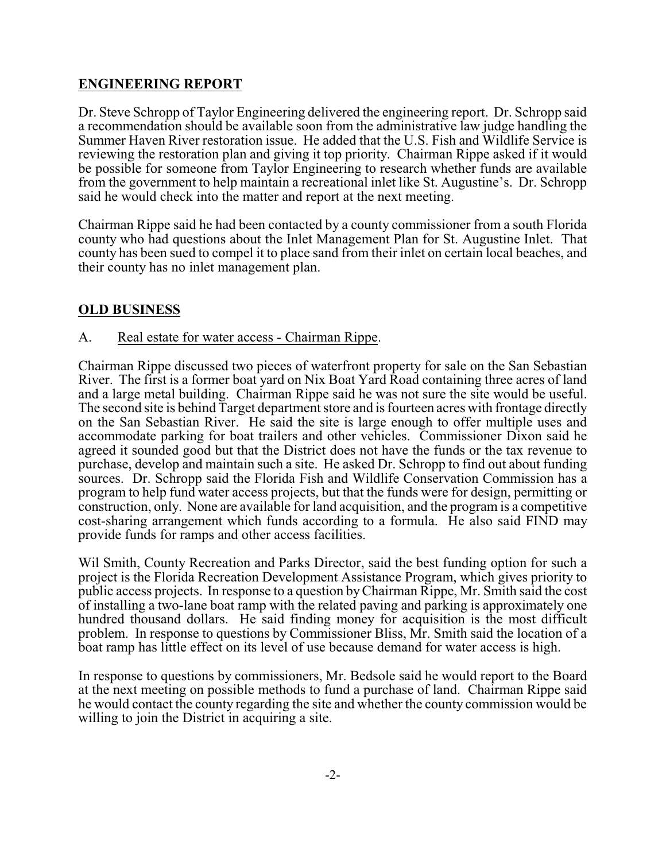## **ENGINEERING REPORT**

Dr. Steve Schropp of Taylor Engineering delivered the engineering report. Dr. Schropp said a recommendation should be available soon from the administrative law judge handling the Summer Haven River restoration issue. He added that the U.S. Fish and Wildlife Service is reviewing the restoration plan and giving it top priority. Chairman Rippe asked if it would be possible for someone from Taylor Engineering to research whether funds are available from the government to help maintain a recreational inlet like St. Augustine's. Dr. Schropp said he would check into the matter and report at the next meeting.

Chairman Rippe said he had been contacted by a county commissioner from a south Florida county who had questions about the Inlet Management Plan for St. Augustine Inlet. That county has been sued to compel it to place sand from their inlet on certain local beaches, and their county has no inlet management plan.

## **OLD BUSINESS**

### A. Real estate for water access - Chairman Rippe.

Chairman Rippe discussed two pieces of waterfront property for sale on the San Sebastian River. The first is a former boat yard on Nix Boat Yard Road containing three acres of land and a large metal building. Chairman Rippe said he was not sure the site would be useful. The second site is behind Target department store and is fourteen acres with frontage directly on the San Sebastian River. He said the site is large enough to offer multiple uses and accommodate parking for boat trailers and other vehicles. Commissioner Dixon said he agreed it sounded good but that the District does not have the funds or the tax revenue to purchase, develop and maintain such a site. He asked Dr. Schropp to find out about funding sources. Dr. Schropp said the Florida Fish and Wildlife Conservation Commission has a program to help fund water access projects, but that the funds were for design, permitting or construction, only. None are available for land acquisition, and the program is a competitive cost-sharing arrangement which funds according to a formula. He also said FIND may provide funds for ramps and other access facilities.

Wil Smith, County Recreation and Parks Director, said the best funding option for such a project is the Florida Recreation Development Assistance Program, which gives priority to public access projects. In response to a question byChairman Rippe, Mr. Smith said the cost of installing a two-lane boat ramp with the related paving and parking is approximately one hundred thousand dollars. He said finding money for acquisition is the most difficult problem. In response to questions by Commissioner Bliss, Mr. Smith said the location of a boat ramp has little effect on its level of use because demand for water access is high.

In response to questions by commissioners, Mr. Bedsole said he would report to the Board at the next meeting on possible methods to fund a purchase of land. Chairman Rippe said he would contact the county regarding the site and whether the county commission would be willing to join the District in acquiring a site.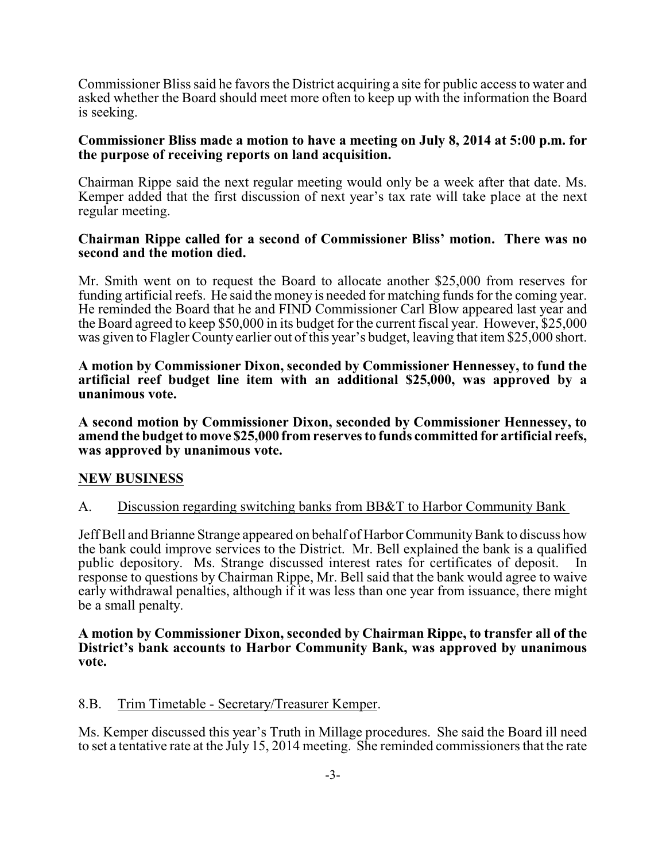Commissioner Bliss said he favors the District acquiring a site for public access to water and asked whether the Board should meet more often to keep up with the information the Board is seeking.

#### **Commissioner Bliss made a motion to have a meeting on July 8, 2014 at 5:00 p.m. for the purpose of receiving reports on land acquisition.**

Chairman Rippe said the next regular meeting would only be a week after that date. Ms. Kemper added that the first discussion of next year's tax rate will take place at the next regular meeting.

#### **Chairman Rippe called for a second of Commissioner Bliss' motion. There was no second and the motion died.**

Mr. Smith went on to request the Board to allocate another \$25,000 from reserves for funding artificial reefs. He said the money is needed for matching funds for the coming year. He reminded the Board that he and FIND Commissioner Carl Blow appeared last year and the Board agreed to keep \$50,000 in its budget for the current fiscal year. However, \$25,000 was given to Flagler County earlier out of this year's budget, leaving that item \$25,000 short.

**A motion by Commissioner Dixon, seconded by Commissioner Hennessey, to fund the artificial reef budget line item with an additional \$25,000, was approved by a unanimous vote.**

**A second motion by Commissioner Dixon, seconded by Commissioner Hennessey, to amend the budget to move \$25,000 from reserves to funds committed for artificial reefs, was approved by unanimous vote.**

### **NEW BUSINESS**

### A. Discussion regarding switching banks from BB&T to Harbor Community Bank

Jeff Bell and Brianne Strange appeared on behalf of Harbor Community Bank to discuss how the bank could improve services to the District. Mr. Bell explained the bank is a qualified public depository. Ms. Strange discussed interest rates for certificates of deposit. In response to questions by Chairman Rippe, Mr. Bell said that the bank would agree to waive early withdrawal penalties, although if it was less than one year from issuance, there might be a small penalty.

#### **A motion by Commissioner Dixon, seconded by Chairman Rippe, to transfer all of the District's bank accounts to Harbor Community Bank, was approved by unanimous vote.**

### 8.B. Trim Timetable - Secretary/Treasurer Kemper.

Ms. Kemper discussed this year's Truth in Millage procedures. She said the Board ill need to set a tentative rate at the July 15, 2014 meeting. She reminded commissioners that the rate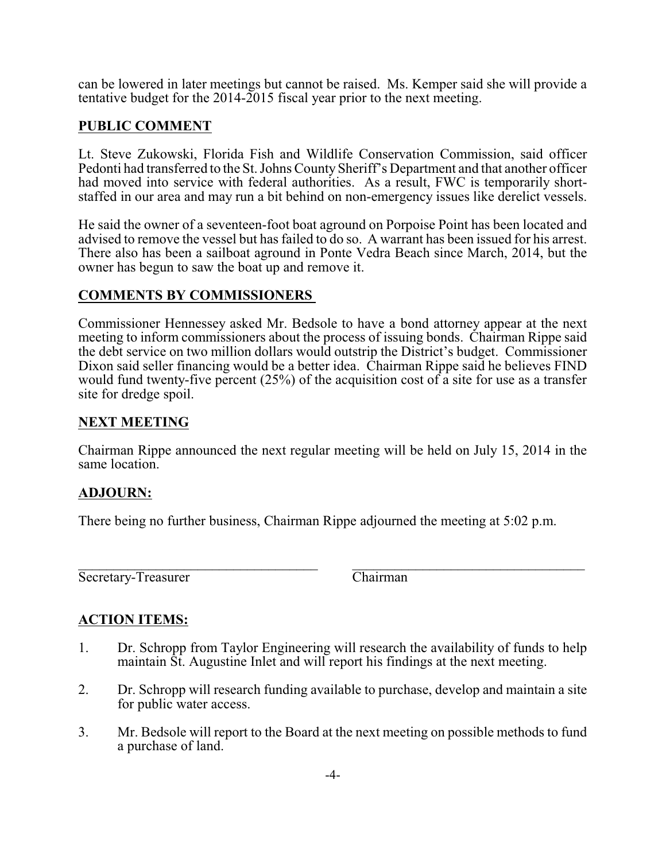can be lowered in later meetings but cannot be raised. Ms. Kemper said she will provide a tentative budget for the 2014-2015 fiscal year prior to the next meeting.

### **PUBLIC COMMENT**

Lt. Steve Zukowski, Florida Fish and Wildlife Conservation Commission, said officer Pedonti had transferred to the St. Johns County Sheriff's Department and that another officer had moved into service with federal authorities. As a result, FWC is temporarily shortstaffed in our area and may run a bit behind on non-emergency issues like derelict vessels.

He said the owner of a seventeen-foot boat aground on Porpoise Point has been located and advised to remove the vessel but has failed to do so. A warrant has been issued for his arrest. There also has been a sailboat aground in Ponte Vedra Beach since March, 2014, but the owner has begun to saw the boat up and remove it.

## **COMMENTS BY COMMISSIONERS**

Commissioner Hennessey asked Mr. Bedsole to have a bond attorney appear at the next meeting to inform commissioners about the process of issuing bonds. Chairman Rippe said the debt service on two million dollars would outstrip the District's budget. Commissioner Dixon said seller financing would be a better idea. Chairman Rippe said he believes FIND would fund twenty-five percent (25%) of the acquisition cost of a site for use as a transfer site for dredge spoil.

### **NEXT MEETING**

Chairman Rippe announced the next regular meeting will be held on July 15, 2014 in the same location.

### **ADJOURN:**

There being no further business, Chairman Rippe adjourned the meeting at 5:02 p.m.

\_\_\_\_\_\_\_\_\_\_\_\_\_\_\_\_\_\_\_\_\_\_\_\_\_\_\_\_\_\_\_\_\_\_ \_\_\_\_\_\_\_\_\_\_\_\_\_\_\_\_\_\_\_\_\_\_\_\_\_\_\_\_\_\_\_\_\_ Secretary-Treasurer Chairman

# **ACTION ITEMS:**

- 1. Dr. Schropp from Taylor Engineering will research the availability of funds to help maintain St. Augustine Inlet and will report his findings at the next meeting.
- 2. Dr. Schropp will research funding available to purchase, develop and maintain a site for public water access.
- 3. Mr. Bedsole will report to the Board at the next meeting on possible methods to fund a purchase of land.